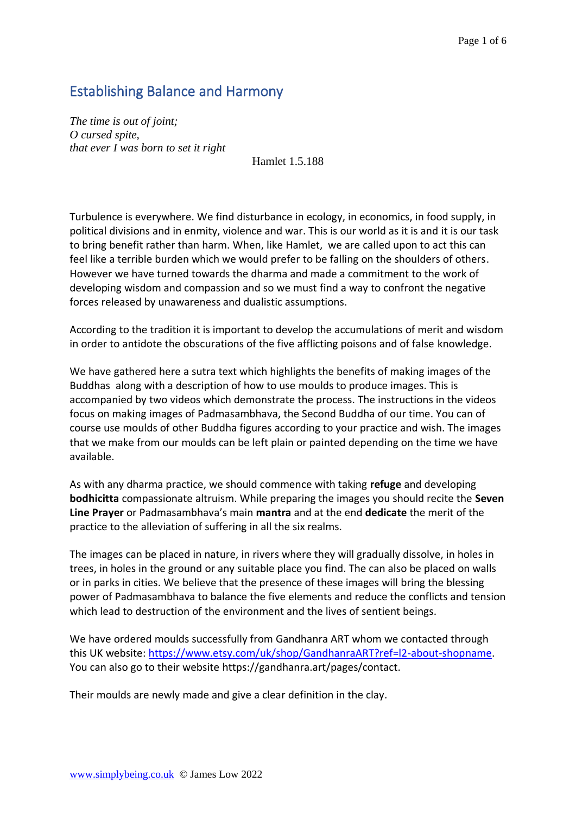# Establishing Balance and Harmony

*The time is out of joint; O cursed spite, that ever I was born to set it right* 

Hamlet 1.5.188

Turbulence is everywhere. We find disturbance in ecology, in economics, in food supply, in political divisions and in enmity, violence and war. This is our world as it is and it is our task to bring benefit rather than harm. When, like Hamlet, we are called upon to act this can feel like a terrible burden which we would prefer to be falling on the shoulders of others. However we have turned towards the dharma and made a commitment to the work of developing wisdom and compassion and so we must find a way to confront the negative forces released by unawareness and dualistic assumptions.

According to the tradition it is important to develop the accumulations of merit and wisdom in order to antidote the obscurations of the five afflicting poisons and of false knowledge.

We have gathered here a sutra text which highlights the benefits of making images of the Buddhas along with a description of how to use moulds to produce images. This is accompanied by two videos which demonstrate the process. The instructions in the videos focus on making images of Padmasambhava, the Second Buddha of our time. You can of course use moulds of other Buddha figures according to your practice and wish. The images that we make from our moulds can be left plain or painted depending on the time we have available.

As with any dharma practice, we should commence with taking **refuge** and developing **bodhicitta** compassionate altruism. While preparing the images you should recite the **Seven Line Prayer** or Padmasambhava's main **mantra** and at the end **dedicate** the merit of the practice to the alleviation of suffering in all the six realms.

The images can be placed in nature, in rivers where they will gradually dissolve, in holes in trees, in holes in the ground or any suitable place you find. The can also be placed on walls or in parks in cities. We believe that the presence of these images will bring the blessing power of Padmasambhava to balance the five elements and reduce the conflicts and tension which lead to destruction of the environment and the lives of sentient beings.

We have ordered moulds successfully from Gandhanra ART whom we contacted through this UK website: [https://www.etsy.com/uk/shop/GandhanraART?ref=l2-about-shopname.](https://www.etsy.com/uk/shop/GandhanraART?ref=l2-about-shopname) You can also go to their website https://gandhanra.art/pages/contact.

Their moulds are newly made and give a clear definition in the clay.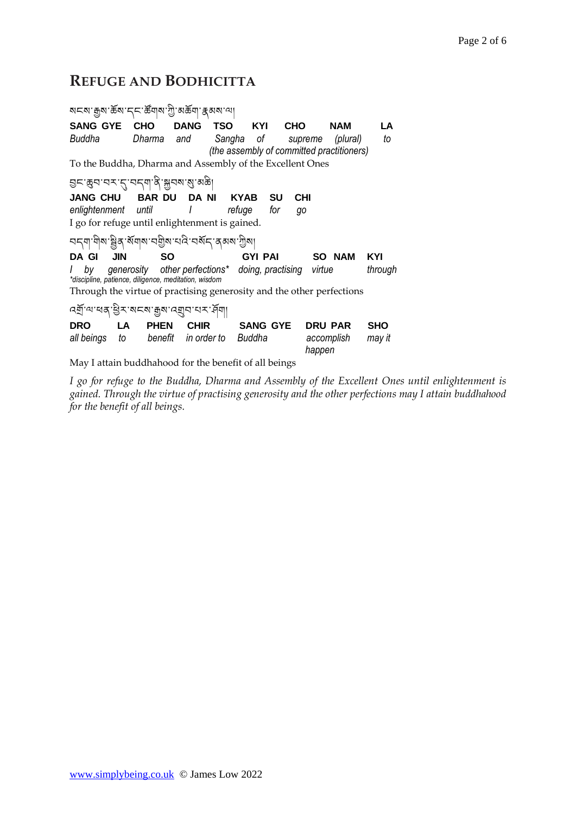# **REFUGE AND BODHICITTA**

| মমম ক্ৰুম ক্ৰম দ্ৰা ক্ষমৰ ত্ৰী সক্ষম ক্ষম না                          |                                                        |                     |            |                   |                      |            |  |  |  |  |  |  |
|-----------------------------------------------------------------------|--------------------------------------------------------|---------------------|------------|-------------------|----------------------|------------|--|--|--|--|--|--|
| <b>SANG GYE</b>                                                       | CHO                                                    | <b>DANG</b>         | <b>TSO</b> | KYI<br><b>CHO</b> | <b>NAM</b>           | LA         |  |  |  |  |  |  |
| Buddha                                                                | Dharma                                                 | and                 | Sangha of  |                   | (plural)<br>supreme  | to         |  |  |  |  |  |  |
| (the assembly of committed practitioners)                             |                                                        |                     |            |                   |                      |            |  |  |  |  |  |  |
| To the Buddha, Dharma and Assembly of the Excellent Ones              |                                                        |                     |            |                   |                      |            |  |  |  |  |  |  |
| <u> घटःक्रुवावराहावदवाद्यःश्रूवबा</u> ळाळा                            |                                                        |                     |            |                   |                      |            |  |  |  |  |  |  |
| <b>JANG CHU</b>                                                       | <b>BAR DU</b>                                          | <b>DANI</b>         | KYAB       | <b>SU</b>         | <b>CHI</b>           |            |  |  |  |  |  |  |
| enlightenment until                                                   |                                                        | $\perp$             | refuge     | for               | go                   |            |  |  |  |  |  |  |
| I go for refuge until enlightenment is gained.                        |                                                        |                     |            |                   |                      |            |  |  |  |  |  |  |
|                                                                       |                                                        |                     |            |                   |                      |            |  |  |  |  |  |  |
| <b>JIN</b><br>DA GI                                                   | <b>SO</b>                                              |                     |            | <b>GYI PAI</b>    | <b>SO NAM</b>        | KYI        |  |  |  |  |  |  |
| by                                                                    | generosity other perfections* doing, practising virtue |                     |            |                   |                      | through    |  |  |  |  |  |  |
| *discipline, patience, diligence, meditation, wisdom                  |                                                        |                     |            |                   |                      |            |  |  |  |  |  |  |
| Through the virtue of practising generosity and the other perfections |                                                        |                     |            |                   |                      |            |  |  |  |  |  |  |
| <u> ন্ম্ৰ্</u> য'ন্মৰ্স্'ষ্ট্ৰ'মেন্ম'ক্কুম'ন্ম্ৰ্যুন'ন্ম'ৰ্শ্         |                                                        |                     |            |                   |                      |            |  |  |  |  |  |  |
| <b>DRO</b>                                                            | <b>PHEN</b><br>LA.                                     | <b>CHIR</b>         |            | <b>SANG GYE</b>   | <b>DRU PAR</b>       | <b>SHO</b> |  |  |  |  |  |  |
| all beings                                                            | to                                                     | benefit in order to | Buddha     |                   | accomplish<br>happen | may it     |  |  |  |  |  |  |
| May I attain buddhahood for the benefit of all beings                 |                                                        |                     |            |                   |                      |            |  |  |  |  |  |  |

*I go for refuge to the Buddha, Dharma and Assembly of the Excellent Ones until enlightenment is gained. Through the virtue of practising generosity and the other perfections may I attain buddhahood for the benefit of all beings.*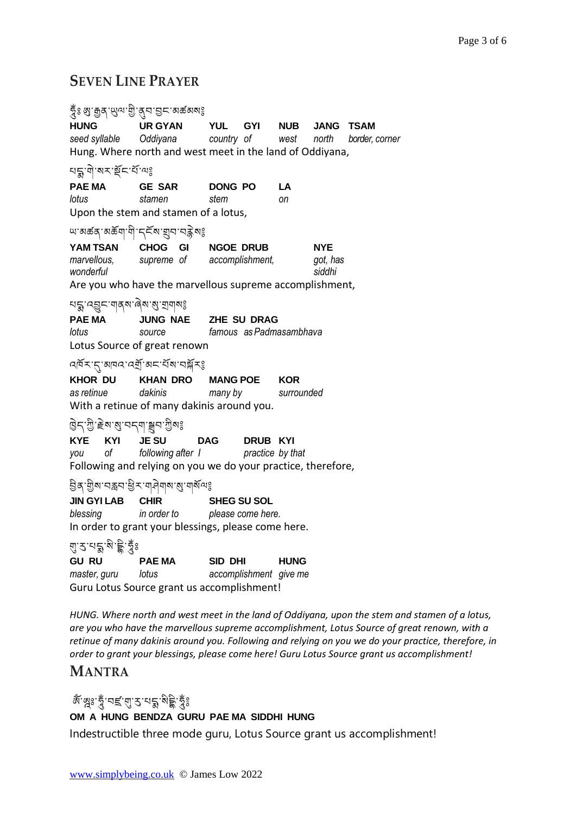# **SEVEN LINE PRAYER**

| ಕೈಃ ೫ु:मुन् 'ਘुव्ण'गुे'तुन'डुम् 'व्रार्कव्याः                                                                                                    |                                                                                                                                        |                                  |            |                                  |                             |  |  |  |  |  |  |
|--------------------------------------------------------------------------------------------------------------------------------------------------|----------------------------------------------------------------------------------------------------------------------------------------|----------------------------------|------------|----------------------------------|-----------------------------|--|--|--|--|--|--|
| <b>HUNG</b>                                                                                                                                      | UR GYAN YUL GYI NUB<br>seed syllable  Oddiyana   country of   west   north<br>Hung. Where north and west meet in the land of Oddiyana, |                                  |            |                                  | JANG TSAM<br>border, corner |  |  |  |  |  |  |
|                                                                                                                                                  |                                                                                                                                        |                                  |            |                                  |                             |  |  |  |  |  |  |
| PAE MA GE SAR DONG PO<br>lotus<br>stamen<br>Upon the stem and stamen of a lotus,                                                                 |                                                                                                                                        | LA<br>stem<br>оn                 |            |                                  |                             |  |  |  |  |  |  |
| ౻ॱॺಹಹੑॱॺಹॅॺऻॱॺऀॱॸॣॾॕॺॱॺॖॗॸॱॸॾॢॆॺঃ                                                                                                                |                                                                                                                                        |                                  |            |                                  |                             |  |  |  |  |  |  |
| wonderful                                                                                                                                        | <b>YAM TSAN CHOG GI NGOE DRUB</b><br>marvellous, supreme of accomplishment,<br>Are you who have the marvellous supreme accomplishment, |                                  |            | <b>NYE</b><br>got, has<br>siddhi |                             |  |  |  |  |  |  |
| ยร :< अर्थः जीवेद्यः अं जीवोद्यः<br>JUNG NAE ZHE SU DRAG<br>PAE MA<br>famous as Padmasambhava<br>lotus<br>source<br>Lotus Source of great renown |                                                                                                                                        |                                  |            |                                  |                             |  |  |  |  |  |  |
|                                                                                                                                                  | ঀ৾ড়ৼ৾৾৻৴য়৳ড়৻ড়য়ঢ়ড়৻ড়য়ৼৼড়ড়ড়৸ড়ড়ৼ                                                                                             |                                  |            |                                  |                             |  |  |  |  |  |  |
| <b>KHOR DU</b><br>as retinue dakinis                                                                                                             | <b>KHAN DRO</b><br>With a retinue of many dakinis around you.                                                                          | <b>MANG POE</b><br>many by       | <b>KOR</b> | surrounded                       |                             |  |  |  |  |  |  |
| हिन्'गुे'हेष'बु'चन्ग'ञ्जून'गुेषः                                                                                                                 |                                                                                                                                        |                                  |            |                                  |                             |  |  |  |  |  |  |
| KYE KYI JESU<br>you of                                                                                                                           | following after 1<br>Following and relying on you we do your practice, therefore,                                                      | DAG DRUB KYI<br>practice by that |            |                                  |                             |  |  |  |  |  |  |
|                                                                                                                                                  |                                                                                                                                        |                                  |            |                                  |                             |  |  |  |  |  |  |
| <b>JIN GYI LAB CHIR</b><br>blessing                                                                                                              | in order to please come here.<br>In order to grant your blessings, please come here.                                                   | <b>SHEG SU SOL</b>               |            |                                  |                             |  |  |  |  |  |  |
| ঀৢ <i>ॱ</i> ঽ <sup>੶য়</sup> ৡৢ <sup>৻</sup> য়৾৽ৡৼয়ৢৼ                                                                                          |                                                                                                                                        |                                  |            |                                  |                             |  |  |  |  |  |  |
| <b>GU RU</b><br>master, guru lotus                                                                                                               | PAE MA SID DHI<br>Guru Lotus Source grant us accomplishment!                                                                           | accomplishment give me           |            | <b>HUNG</b>                      |                             |  |  |  |  |  |  |

*HUNG. Where north and west meet in the land of Oddiyana, upon the stem and stamen of a lotus, are you who have the marvellous supreme accomplishment, Lotus Source of great renown, with a retinue of many dakinis around you. Following and relying on you we do your practice, therefore, in order to grant your blessings, please come here! Guru Lotus Source grant us accomplishment!*

### **MANTRA**

# জঁ জুঃ তুঁ 'বৰ্হ'ন্মু' ব্ৰ'মক্ক' মুই তুঁঃ

### **OM A HUNG BENDZA GURU PAE MA SIDDHI HUNG**

Indestructible three mode guru, Lotus Source grant us accomplishment!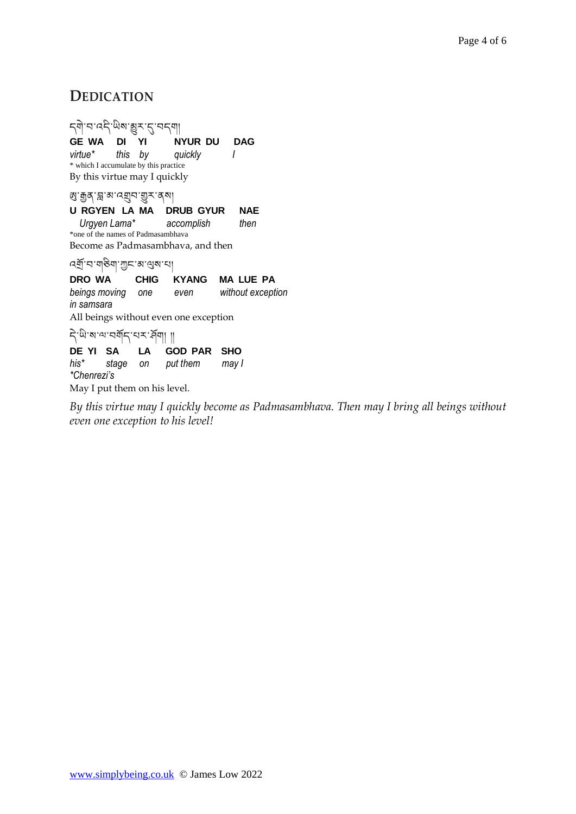# **DEDICATION**

དགེ་བ་འདྱི་ཡྱིས་མྱུར་དུ་བདག། **GE WA DI YI NYUR DU DAG** *virtue\* this by quickly I* \* which I accumulate by this practice By this virtue may I quickly ཨུ་རྒྱན་བླ་མ་འགྲུབ་གྱུར་ནས། **U RGYEN LA MA DRUB GYUR NAE**  *Urgyen Lama\* accomplish then* \*one of the names of Padmasambhava Become as Padmasambhava, and then འགོ་བ་གཅྱིག་ཀང་མ་ལུས་པ། **DRO WA CHIG KYANG MA LUE PA** *beings moving one even without exception in samsara* All beings without even one exception ন্ট'জ'ৰ''অৰ্শন্'ম্ব'ৰা || **DE YI SA LA GOD PAR SHO** *his\* stage on put them may I \*Chenrezi's* May I put them on his level.

*By this virtue may I quickly become as Padmasambhava. Then may I bring all beings without even one exception to his level!*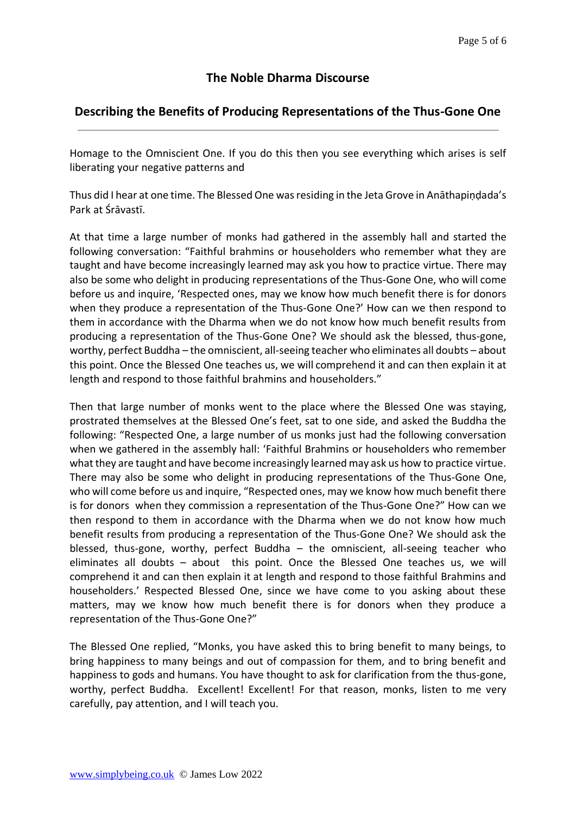### **The Noble Dharma Discourse**

#### **Describing the Benefits of Producing Representations of the Thus-Gone One**

Homage to the Omniscient One. If you do this then you see everything which arises is self liberating your negative patterns and

Thus did I hear at one time. The Blessed One was residing in the Jeta Grove in Anāthapiṇḍada's Park at Śrāvastī.

At that time a large number of monks had gathered in the assembly hall and started the following conversation: "Faithful brahmins or householders who remember what they are taught and have become increasingly learned may ask you how to practice virtue. There may also be some who delight in producing representations of the Thus-Gone One, who will come before us and inquire, 'Respected ones, may we know how much benefit there is for donors when they produce a representation of the Thus-Gone One?' How can we then respond to them in accordance with the Dharma when we do not know how much benefit results from producing a representation of the Thus-Gone One? We should ask the blessed, thus-gone, worthy, perfect Buddha – the omniscient, all-seeing teacher who eliminates all doubts – about this point. Once the Blessed One teaches us, we will comprehend it and can then explain it at length and respond to those faithful brahmins and householders."

Then that large number of monks went to the place where the Blessed One was staying, prostrated themselves at the Blessed One's feet, sat to one side, and asked the Buddha the following: "Respected One, a large number of us monks just had the following conversation when we gathered in the assembly hall: 'Faithful Brahmins or householders who remember what they are taught and have become increasingly learned may ask us how to practice virtue. There may also be some who delight in producing representations of the Thus-Gone One, who will come before us and inquire, "Respected ones, may we know how much benefit there is for donors when they commission a representation of the Thus-Gone One?" How can we then respond to them in accordance with the Dharma when we do not know how much benefit results from producing a representation of the Thus-Gone One? We should ask the blessed, thus-gone, worthy, perfect Buddha – the omniscient, all-seeing teacher who eliminates all doubts – about this point. Once the Blessed One teaches us, we will comprehend it and can then explain it at length and respond to those faithful Brahmins and householders.' Respected Blessed One, since we have come to you asking about these matters, may we know how much benefit there is for donors when they produce a representation of the Thus-Gone One?"

The Blessed One replied, "Monks, you have asked this to bring benefit to many beings, to bring happiness to many beings and out of compassion for them, and to bring benefit and happiness to gods and humans. You have thought to ask for clarification from the thus-gone, worthy, perfect Buddha. Excellent! Excellent! For that reason, monks, listen to me very carefully, pay attention, and I will teach you.